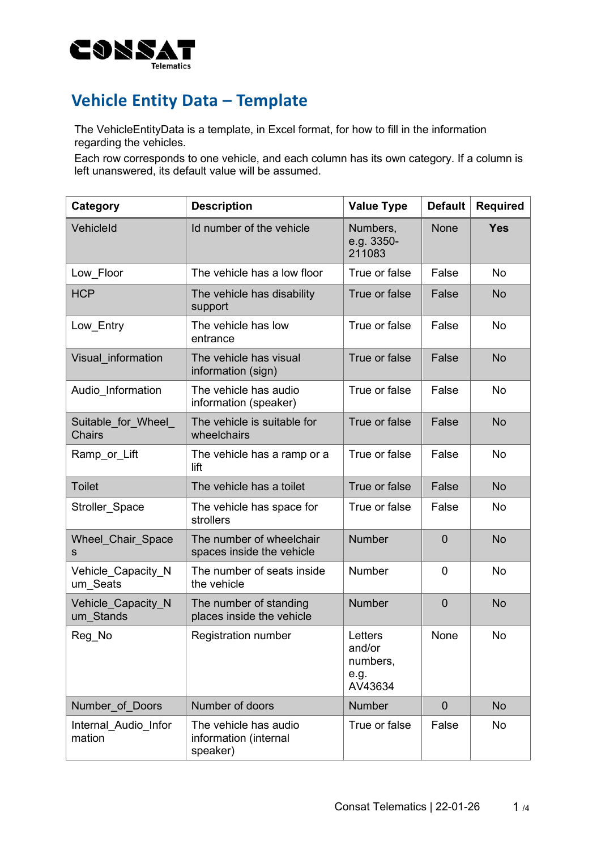

## **Vehicle Entity Data – Template**

The VehicleEntityData is a template, in Excel format, for how to fill in the information regarding the vehicles.

Each row corresponds to one vehicle, and each column has its own category. If a column is left unanswered, its default value will be assumed.

| Category                            | <b>Description</b>                                         | <b>Value Type</b>                                | <b>Default</b> | <b>Required</b> |
|-------------------------------------|------------------------------------------------------------|--------------------------------------------------|----------------|-----------------|
| VehicleId                           | Id number of the vehicle                                   | Numbers,<br>e.g. 3350-<br>211083                 | <b>None</b>    | <b>Yes</b>      |
| Low Floor                           | The vehicle has a low floor                                | True or false                                    | False          | <b>No</b>       |
| <b>HCP</b>                          | The vehicle has disability<br>support                      | True or false                                    | False          | <b>No</b>       |
| Low Entry                           | The vehicle has low<br>entrance                            | True or false                                    | False          | <b>No</b>       |
| Visual information                  | The vehicle has visual<br>information (sign)               | True or false                                    | False          | <b>No</b>       |
| Audio Information                   | The vehicle has audio<br>information (speaker)             | True or false                                    | False          | No              |
| Suitable for Wheel<br><b>Chairs</b> | The vehicle is suitable for<br>wheelchairs                 | True or false                                    | False          | <b>No</b>       |
| Ramp_or_Lift                        | The vehicle has a ramp or a<br>lift                        | True or false                                    | False          | <b>No</b>       |
| <b>Toilet</b>                       | The vehicle has a toilet                                   | True or false                                    | False          | <b>No</b>       |
| Stroller_Space                      | The vehicle has space for<br>strollers                     | True or false                                    | False          | <b>No</b>       |
| Wheel_Chair_Space<br>s              | The number of wheelchair<br>spaces inside the vehicle      | <b>Number</b>                                    | $\overline{0}$ | <b>No</b>       |
| Vehicle Capacity N<br>um Seats      | The number of seats inside<br>the vehicle                  | <b>Number</b>                                    | $\overline{0}$ | No              |
| Vehicle Capacity N<br>um Stands     | The number of standing<br>places inside the vehicle        | <b>Number</b>                                    | $\mathbf 0$    | <b>No</b>       |
| Reg_No                              | <b>Registration number</b>                                 | Letters<br>and/or<br>numbers,<br>e.g.<br>AV43634 | None           | No              |
| Number of Doors                     | Number of doors                                            | <b>Number</b>                                    | $\overline{0}$ | <b>No</b>       |
| Internal Audio Infor<br>mation      | The vehicle has audio<br>information (internal<br>speaker) | True or false                                    | False          | No              |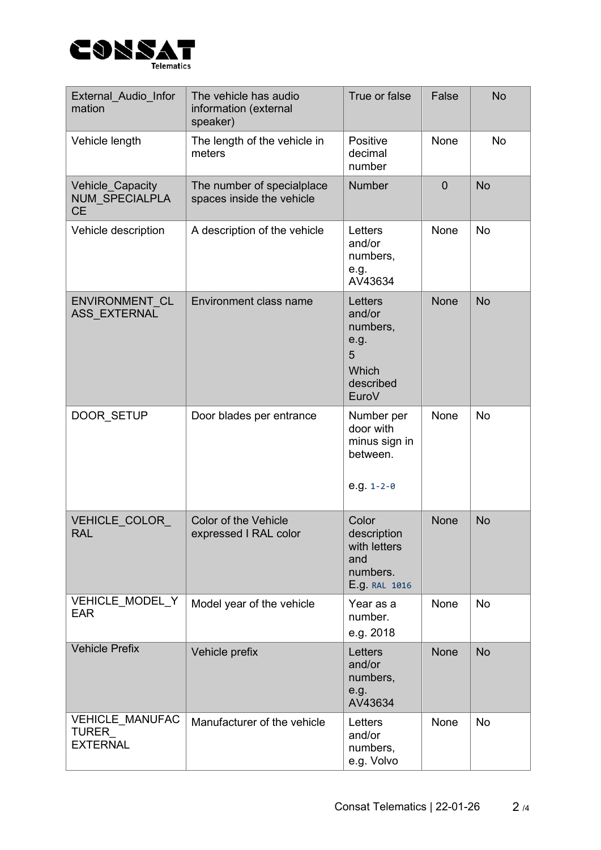

| External Audio Infor<br>mation                            | The vehicle has audio<br>information (external<br>speaker) | True or false                                                             | False          | <b>No</b> |
|-----------------------------------------------------------|------------------------------------------------------------|---------------------------------------------------------------------------|----------------|-----------|
| Vehicle length                                            | The length of the vehicle in<br>meters                     | Positive<br>decimal<br>number                                             | None           | <b>No</b> |
| Vehicle_Capacity<br><b>NUM SPECIALPLA</b><br><b>CE</b>    | The number of specialplace<br>spaces inside the vehicle    | <b>Number</b>                                                             | $\overline{0}$ | <b>No</b> |
| Vehicle description                                       | A description of the vehicle                               | Letters<br>and/or<br>numbers,<br>e.g.<br>AV43634                          | None           | <b>No</b> |
| ENVIRONMENT CL<br><b>ASS EXTERNAL</b>                     | Environment class name                                     | Letters<br>and/or<br>numbers,<br>e.g.<br>5<br>Which<br>described<br>EuroV | <b>None</b>    | <b>No</b> |
| DOOR SETUP                                                | Door blades per entrance                                   | Number per<br>door with<br>minus sign in<br>between.<br>e.g. $1 - 2 - 0$  | None           | <b>No</b> |
| <b>VEHICLE COLOR</b><br><b>RAL</b>                        | <b>Color of the Vehicle</b><br>expressed I RAL color       | Color<br>description<br>with letters<br>and<br>numbers.<br>E.g. RAL 1016  | <b>None</b>    | <b>No</b> |
| VEHICLE MODEL Y<br><b>EAR</b>                             | Model year of the vehicle                                  | Year as a<br>number.<br>e.g. 2018                                         | <b>None</b>    | <b>No</b> |
| <b>Vehicle Prefix</b>                                     | Vehicle prefix                                             | Letters<br>and/or<br>numbers,<br>e.g.<br>AV43634                          | <b>None</b>    | <b>No</b> |
| <b>VEHICLE MANUFAC</b><br><b>TURER</b><br><b>EXTERNAL</b> | Manufacturer of the vehicle                                | Letters<br>and/or<br>numbers,<br>e.g. Volvo                               | None           | <b>No</b> |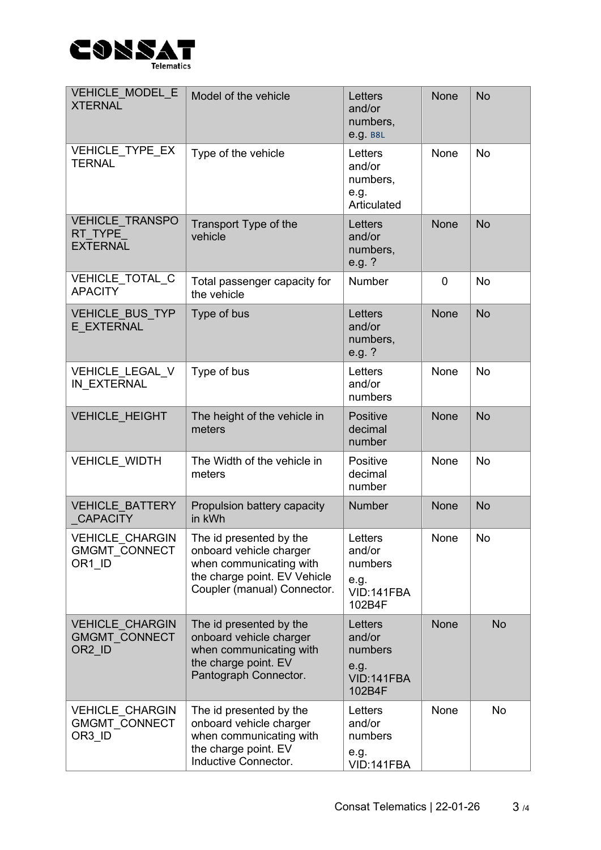

| VEHICLE MODEL E<br><b>XTERNAL</b>                                    | Model of the vehicle                                                                                                                         | Letters<br>and/or<br>numbers,<br>e.g. B8L                    | <b>None</b> | <b>No</b> |
|----------------------------------------------------------------------|----------------------------------------------------------------------------------------------------------------------------------------------|--------------------------------------------------------------|-------------|-----------|
| VEHICLE TYPE EX<br><b>TERNAL</b>                                     | Type of the vehicle                                                                                                                          | Letters<br>and/or<br>numbers,<br>e.g.<br>Articulated         | <b>None</b> | <b>No</b> |
| <b>VEHICLE TRANSPO</b><br>RT TYPE<br><b>EXTERNAL</b>                 | Transport Type of the<br>vehicle                                                                                                             | Letters<br>and/or<br>numbers,<br>e.g.?                       | <b>None</b> | <b>No</b> |
| VEHICLE TOTAL C<br><b>APACITY</b>                                    | Total passenger capacity for<br>the vehicle                                                                                                  | <b>Number</b>                                                | $\mathbf 0$ | <b>No</b> |
| <b>VEHICLE BUS TYP</b><br>E EXTERNAL                                 | Type of bus                                                                                                                                  | Letters<br>and/or<br>numbers,<br>e.g. $?$                    | <b>None</b> | <b>No</b> |
| VEHICLE_LEGAL_V<br>IN EXTERNAL                                       | Type of bus                                                                                                                                  | Letters<br>and/or<br>numbers                                 | None        | <b>No</b> |
| <b>VEHICLE HEIGHT</b>                                                | The height of the vehicle in<br>meters                                                                                                       | Positive<br>decimal<br>number                                | <b>None</b> | <b>No</b> |
| VEHICLE_WIDTH                                                        | The Width of the vehicle in<br>meters                                                                                                        | Positive<br>decimal<br>number                                | None        | <b>No</b> |
| <b>VEHICLE BATTERY</b><br><b>CAPACITY</b>                            | Propulsion battery capacity<br>in kWh                                                                                                        | <b>Number</b>                                                | <b>None</b> | <b>No</b> |
| VEHICLE_CHARGIN<br><b>GMGMT CONNECT</b><br>OR1 ID                    | The id presented by the<br>onboard vehicle charger<br>when communicating with<br>the charge point. EV Vehicle<br>Coupler (manual) Connector. | Letters<br>and/or<br>numbers<br>e.g.<br>VID:141FBA<br>102B4F | None        | No        |
| <b>VEHICLE CHARGIN</b><br><b>GMGMT CONNECT</b><br>OR <sub>2</sub> ID | The id presented by the<br>onboard vehicle charger<br>when communicating with<br>the charge point. EV<br>Pantograph Connector.               | Letters<br>and/or<br>numbers<br>e.g.<br>VID:141FBA<br>102B4F | <b>None</b> | <b>No</b> |
| <b>VEHICLE CHARGIN</b><br><b>GMGMT CONNECT</b><br>OR3 ID             | The id presented by the<br>onboard vehicle charger<br>when communicating with<br>the charge point. EV<br>Inductive Connector.                | Letters<br>and/or<br>numbers<br>e.g.<br>VID:141FBA           | None        | <b>No</b> |